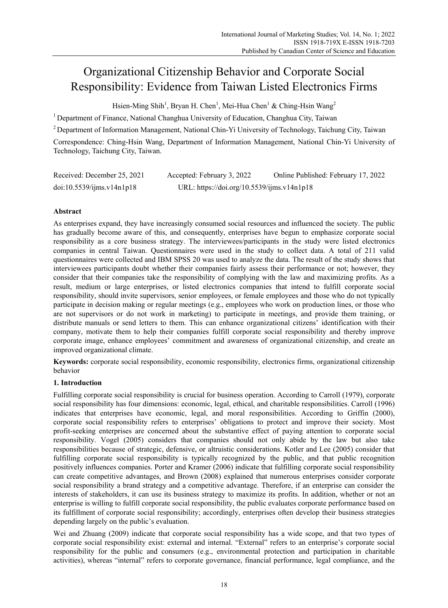# Organizational Citizenship Behavior and Corporate Social Responsibility: Evidence from Taiwan Listed Electronics Firms

Hsien-Ming Shih<sup>1</sup>, Bryan H. Chen<sup>1</sup>, Mei-Hua Chen<sup>1</sup> & Ching-Hsin Wang<sup>2</sup>

1 Department of Finance, National Changhua University of Education, Changhua City, Taiwan

2 Department of Information Management, National Chin-Yi University of Technology, Taichung City, Taiwan Correspondence: Ching-Hsin Wang, Department of Information Management, National Chin-Yi University of Technology, Taichung City, Taiwan.

| Received: December 25, 2021 | Accepted: February 3, 2022                 | Online Published: February 17, 2022 |
|-----------------------------|--------------------------------------------|-------------------------------------|
| doi:10.5539/ijms.v14n1p18   | URL: https://doi.org/10.5539/ijms.v14n1p18 |                                     |

# **Abstract**

As enterprises expand, they have increasingly consumed social resources and influenced the society. The public has gradually become aware of this, and consequently, enterprises have begun to emphasize corporate social responsibility as a core business strategy. The interviewees/participants in the study were listed electronics companies in central Taiwan. Questionnaires were used in the study to collect data. A total of 211 valid questionnaires were collected and IBM SPSS 20 was used to analyze the data. The result of the study shows that interviewees participants doubt whether their companies fairly assess their performance or not; however, they consider that their companies take the responsibility of complying with the law and maximizing profits. As a result, medium or large enterprises, or listed electronics companies that intend to fulfill corporate social responsibility, should invite supervisors, senior employees, or female employees and those who do not typically participate in decision making or regular meetings (e.g., employees who work on production lines, or those who are not supervisors or do not work in marketing) to participate in meetings, and provide them training, or distribute manuals or send letters to them. This can enhance organizational citizens' identification with their company, motivate them to help their companies fulfill corporate social responsibility and thereby improve corporate image, enhance employees' commitment and awareness of organizational citizenship, and create an improved organizational climate.

**Keywords:** corporate social responsibility, economic responsibility, electronics firms, organizational citizenship behavior

# **1. Introduction**

Fulfilling corporate social responsibility is crucial for business operation. According to Carroll (1979), corporate social responsibility has four dimensions: economic, legal, ethical, and charitable responsibilities. Carroll (1996) indicates that enterprises have economic, legal, and moral responsibilities. According to Griffin (2000), corporate social responsibility refers to enterprises' obligations to protect and improve their society. Most profit-seeking enterprises are concerned about the substantive effect of paying attention to corporate social responsibility. Vogel (2005) considers that companies should not only abide by the law but also take responsibilities because of strategic, defensive, or altruistic considerations. Kotler and Lee (2005) consider that fulfilling corporate social responsibility is typically recognized by the public, and that public recognition positively influences companies. Porter and Kramer (2006) indicate that fulfilling corporate social responsibility can create competitive advantages, and Brown (2008) explained that numerous enterprises consider corporate social responsibility a brand strategy and a competitive advantage. Therefore, if an enterprise can consider the interests of stakeholders, it can use its business strategy to maximize its profits. In addition, whether or not an enterprise is willing to fulfill corporate social responsibility, the public evaluates corporate performance based on its fulfillment of corporate social responsibility; accordingly, enterprises often develop their business strategies depending largely on the public's evaluation.

Wei and Zhuang (2009) indicate that corporate social responsibility has a wide scope, and that two types of corporate social responsibility exist: external and internal. "External" refers to an enterprise's corporate social responsibility for the public and consumers (e.g., environmental protection and participation in charitable activities), whereas "internal" refers to corporate governance, financial performance, legal compliance, and the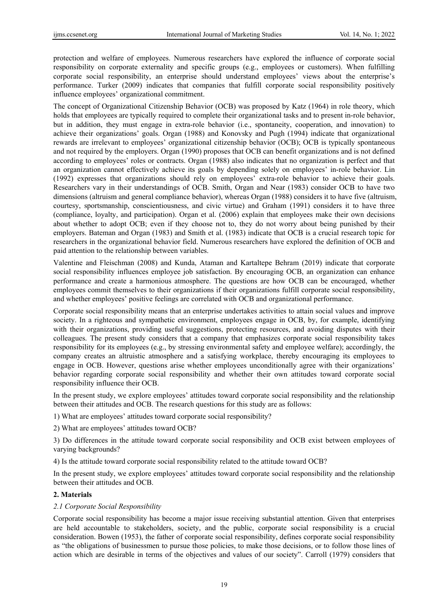protection and welfare of employees. Numerous researchers have explored the influence of corporate social responsibility on corporate externality and specific groups (e.g., employees or customers). When fulfilling corporate social responsibility, an enterprise should understand employees' views about the enterprise's performance. Turker (2009) indicates that companies that fulfill corporate social responsibility positively influence employees' organizational commitment.

The concept of Organizational Citizenship Behavior (OCB) was proposed by Katz (1964) in role theory, which holds that employees are typically required to complete their organizational tasks and to present in-role behavior, but in addition, they must engage in extra-role behavior (i.e., spontaneity, cooperation, and innovation) to achieve their organizations' goals. Organ (1988) and Konovsky and Pugh (1994) indicate that organizational rewards are irrelevant to employees' organizational citizenship behavior (OCB); OCB is typically spontaneous and not required by the employers. Organ (1990) proposes that OCB can benefit organizations and is not defined according to employees' roles or contracts. Organ (1988) also indicates that no organization is perfect and that an organization cannot effectively achieve its goals by depending solely on employees' in-role behavior. Lin (1992) expresses that organizations should rely on employees' extra-role behavior to achieve their goals. Researchers vary in their understandings of OCB. Smith, Organ and Near (1983) consider OCB to have two dimensions (altruism and general compliance behavior), whereas Organ (1988) considers it to have five (altruism, courtesy, sportsmanship, conscientiousness, and civic virtue) and Graham (1991) considers it to have three (compliance, loyalty, and participation). Organ et al. (2006) explain that employees make their own decisions about whether to adopt OCB; even if they choose not to, they do not worry about being punished by their employers. Bateman and Organ (1983) and Smith et al. (1983) indicate that OCB is a crucial research topic for researchers in the organizational behavior field. Numerous researchers have explored the definition of OCB and paid attention to the relationship between variables.

Valentine and Fleischman (2008) and Kunda, Ataman and Kartaltepe Behram (2019) indicate that corporate social responsibility influences employee job satisfaction. By encouraging OCB, an organization can enhance performance and create a harmonious atmosphere. The questions are how OCB can be encouraged, whether employees commit themselves to their organizations if their organizations fulfill corporate social responsibility, and whether employees' positive feelings are correlated with OCB and organizational performance.

Corporate social responsibility means that an enterprise undertakes activities to attain social values and improve society. In a righteous and sympathetic environment, employees engage in OCB, by, for example, identifying with their organizations, providing useful suggestions, protecting resources, and avoiding disputes with their colleagues. The present study considers that a company that emphasizes corporate social responsibility takes responsibility for its employees (e.g., by stressing environmental safety and employee welfare); accordingly, the company creates an altruistic atmosphere and a satisfying workplace, thereby encouraging its employees to engage in OCB. However, questions arise whether employees unconditionally agree with their organizations' behavior regarding corporate social responsibility and whether their own attitudes toward corporate social responsibility influence their OCB.

In the present study, we explore employees' attitudes toward corporate social responsibility and the relationship between their attitudes and OCB. The research questions for this study are as follows:

- 1) What are employees' attitudes toward corporate social responsibility?
- 2) What are employees' attitudes toward OCB?

3) Do differences in the attitude toward corporate social responsibility and OCB exist between employees of varying backgrounds?

4) Is the attitude toward corporate social responsibility related to the attitude toward OCB?

In the present study, we explore employees' attitudes toward corporate social responsibility and the relationship between their attitudes and OCB.

## **2. Materials**

## *2.1 Corporate Social Responsibility*

Corporate social responsibility has become a major issue receiving substantial attention. Given that enterprises are held accountable to stakeholders, society, and the public, corporate social responsibility is a crucial consideration. Bowen (1953), the father of corporate social responsibility, defines corporate social responsibility as "the obligations of businessmen to pursue those policies, to make those decisions, or to follow those lines of action which are desirable in terms of the objectives and values of our society". Carroll (1979) considers that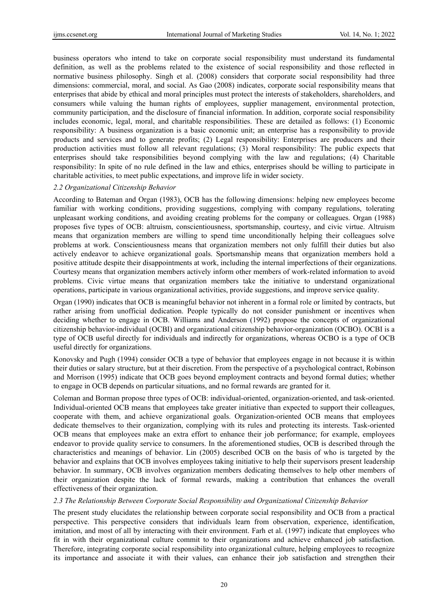business operators who intend to take on corporate social responsibility must understand its fundamental definition, as well as the problems related to the existence of social responsibility and those reflected in normative business philosophy. Singh et al. (2008) considers that corporate social responsibility had three dimensions: commercial, moral, and social. As Gao (2008) indicates, corporate social responsibility means that enterprises that abide by ethical and moral principles must protect the interests of stakeholders, shareholders, and consumers while valuing the human rights of employees, supplier management, environmental protection, community participation, and the disclosure of financial information. In addition, corporate social responsibility includes economic, legal, moral, and charitable responsibilities. These are detailed as follows: (1) Economic responsibility: A business organization is a basic economic unit; an enterprise has a responsibility to provide products and services and to generate profits; (2) Legal responsibility: Enterprises are producers and their production activities must follow all relevant regulations; (3) Moral responsibility: The public expects that enterprises should take responsibilities beyond complying with the law and regulations; (4) Charitable responsibility: In spite of no rule defined in the law and ethics, enterprises should be willing to participate in charitable activities, to meet public expectations, and improve life in wider society.

## *2.2 Organizational Citizenship Behavior*

According to Bateman and Organ (1983), OCB has the following dimensions: helping new employees become familiar with working conditions, providing suggestions, complying with company regulations, tolerating unpleasant working conditions, and avoiding creating problems for the company or colleagues. Organ (1988) proposes five types of OCB: altruism, conscientiousness, sportsmanship, courtesy, and civic virtue. Altruism means that organization members are willing to spend time unconditionally helping their colleagues solve problems at work. Conscientiousness means that organization members not only fulfill their duties but also actively endeavor to achieve organizational goals. Sportsmanship means that organization members hold a positive attitude despite their disappointments at work, including the internal imperfections of their organizations. Courtesy means that organization members actively inform other members of work-related information to avoid problems. Civic virtue means that organization members take the initiative to understand organizational operations, participate in various organizational activities, provide suggestions, and improve service quality.

Organ (1990) indicates that OCB is meaningful behavior not inherent in a formal role or limited by contracts, but rather arising from unofficial dedication. People typically do not consider punishment or incentives when deciding whether to engage in OCB. Williams and Anderson (1992) propose the concepts of organizational citizenship behavior-individual (OCBI) and organizational citizenship behavior-organization (OCBO). OCBI is a type of OCB useful directly for individuals and indirectly for organizations, whereas OCBO is a type of OCB useful directly for organizations.

Konovsky and Pugh (1994) consider OCB a type of behavior that employees engage in not because it is within their duties or salary structure, but at their discretion. From the perspective of a psychological contract, Robinson and Morrison (1995) indicate that OCB goes beyond employment contracts and beyond formal duties; whether to engage in OCB depends on particular situations, and no formal rewards are granted for it.

Coleman and Borman propose three types of OCB: individual-oriented, organization-oriented, and task-oriented. Individual-oriented OCB means that employees take greater initiative than expected to support their colleagues, cooperate with them, and achieve organizational goals. Organization-oriented OCB means that employees dedicate themselves to their organization, complying with its rules and protecting its interests. Task-oriented OCB means that employees make an extra effort to enhance their job performance; for example, employees endeavor to provide quality service to consumers. In the aforementioned studies, OCB is described through the characteristics and meanings of behavior. Lin (2005) described OCB on the basis of who is targeted by the behavior and explains that OCB involves employees taking initiative to help their supervisors present leadership behavior. In summary, OCB involves organization members dedicating themselves to help other members of their organization despite the lack of formal rewards, making a contribution that enhances the overall effectiveness of their organization.

## *2.3 The Relationship Between Corporate Social Responsibility and Organizational Citizenship Behavior*

The present study elucidates the relationship between corporate social responsibility and OCB from a practical perspective. This perspective considers that individuals learn from observation, experience, identification, imitation, and most of all by interacting with their environment. Farh et al. (1997) indicate that employees who fit in with their organizational culture commit to their organizations and achieve enhanced job satisfaction. Therefore, integrating corporate social responsibility into organizational culture, helping employees to recognize its importance and associate it with their values, can enhance their job satisfaction and strengthen their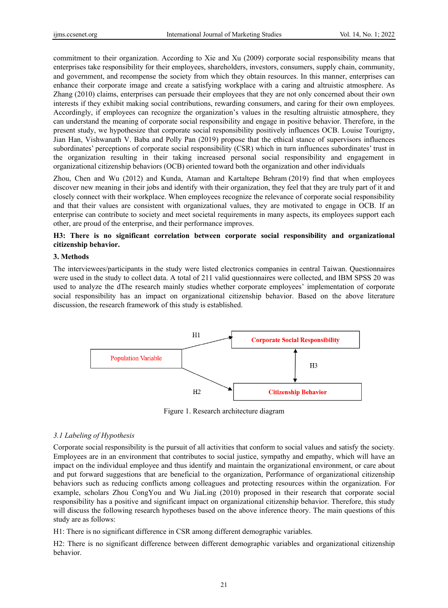commitment to their organization. According to Xie and Xu (2009) corporate social responsibility means that enterprises take responsibility for their employees, shareholders, investors, consumers, supply chain, community, and government, and recompense the society from which they obtain resources. In this manner, enterprises can enhance their corporate image and create a satisfying workplace with a caring and altruistic atmosphere. As Zhang (2010) claims, enterprises can persuade their employees that they are not only concerned about their own interests if they exhibit making social contributions, rewarding consumers, and caring for their own employees. Accordingly, if employees can recognize the organization's values in the resulting altruistic atmosphere, they can understand the meaning of corporate social responsibility and engage in positive behavior. Therefore, in the present study, we hypothesize that corporate social responsibility positively influences OCB. Louise Tourigny, Jian Han, Vishwanath V. Baba and Polly Pan (2019) propose that the ethical stance of supervisors influences subordinates' perceptions of corporate social responsibility (CSR) which in turn influences subordinates' trust in the organization resulting in their taking increased personal social responsibility and engagement in organizational citizenship behaviors (OCB) oriented toward both the organization and other individuals

Zhou, Chen and Wu (2012) and Kunda, Ataman and Kartaltepe Behram (2019) find that when employees discover new meaning in their jobs and identify with their organization, they feel that they are truly part of it and closely connect with their workplace. When employees recognize the relevance of corporate social responsibility and that their values are consistent with organizational values, they are motivated to engage in OCB. If an enterprise can contribute to society and meet societal requirements in many aspects, its employees support each other, are proud of the enterprise, and their performance improves.

# **H3: There is no significant correlation between corporate social responsibility and organizational citizenship behavior.**

## **3. Methods**

The interviewees/participants in the study were listed electronics companies in central Taiwan. Questionnaires were used in the study to collect data. A total of 211 valid questionnaires were collected, and IBM SPSS 20 was used to analyze the dThe research mainly studies whether corporate employees' implementation of corporate social responsibility has an impact on organizational citizenship behavior. Based on the above literature discussion, the research framework of this study is established.



Figure 1. Research architecture diagram

# *3.1 Labeling of Hypothesis*

Corporate social responsibility is the pursuit of all activities that conform to social values and satisfy the society. Employees are in an environment that contributes to social justice, sympathy and empathy, which will have an impact on the individual employee and thus identify and maintain the organizational environment, or care about and put forward suggestions that are beneficial to the organization, Performance of organizational citizenship behaviors such as reducing conflicts among colleagues and protecting resources within the organization. For example, scholars Zhou CongYou and Wu JiaLing (2010) proposed in their research that corporate social responsibility has a positive and significant impact on organizational citizenship behavior. Therefore, this study will discuss the following research hypotheses based on the above inference theory. The main questions of this study are as follows:

H1: There is no significant difference in CSR among different demographic variables.

H2: There is no significant difference between different demographic variables and organizational citizenship behavior.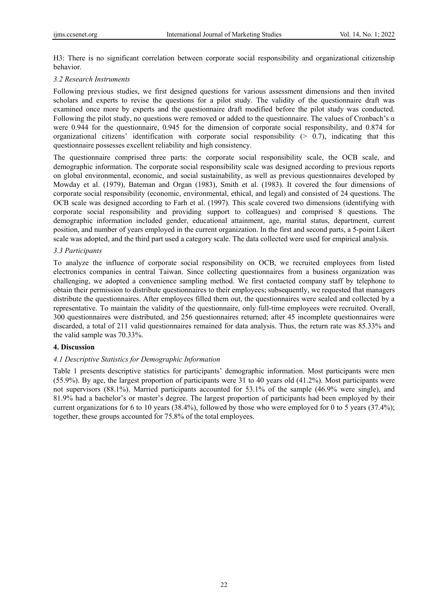H3: There is no significant correlation between corporate social responsibility and organizational citizenship behavior.

#### *3.2 Research Instruments*

Following previous studies, we first designed questions for various assessment dimensions and then invited scholars and experts to revise the questions for a pilot study. The validity of the questionnaire draft was examined once more by experts and the questionnaire draft modified before the pilot study was conducted. Following the pilot study, no questions were removed or added to the questionnaire. The values of Cronbach's  $\alpha$ were 0.944 for the questionnaire, 0.945 for the dimension of corporate social responsibility, and 0.874 for organizational citizens' identification with corporate social responsibility  $(> 0.7)$ , indicating that this questionnaire possesses excellent reliability and high consistency.

The questionnaire comprised three parts: the corporate social responsibility scale, the OCB scale, and demographic information. The corporate social responsibility scale was designed according to previous reports on global environmental, economic, and social sustainability, as well as previous questionnaires developed by Mowday et al. (1979), Bateman and Organ (1983), Smith et al. (1983). It covered the four dimensions of corporate social responsibility (economic, environmental, ethical, and legal) and consisted of 24 questions. The OCB scale was designed according to Farh et al. (1997). This scale covered two dimensions (identifying with corporate social responsibility and providing support to colleagues) and comprised 8 questions. The demographic information included gender, educational attainment, age, marital status, department, current position, and number of years employed in the current organization. In the first and second parts, a 5-point Likert scale was adopted, and the third part used a category scale. The data collected were used for empirical analysis.

#### *3.3 Participants*

To analyze the influence of corporate social responsibility on OCB, we recruited employees from listed electronics companies in central Taiwan. Since collecting questionnaires from a business organization was challenging, we adopted a convenience sampling method. We first contacted company staff by telephone to obtain their permission to distribute questionnaires to their employees; subsequently, we requested that managers distribute the questionnaires. After employees filled them out, the questionnaires were sealed and collected by a representative. To maintain the validity of the questionnaire, only full-time employees were recruited. Overall, 300 questionnaires were distributed, and 256 questionnaires returned; after 45 incomplete questionnaires were discarded, a total of 211 valid questionnaires remained for data analysis. Thus, the return rate was 85.33% and the valid sample was 70.33%.

## **4. Discussion**

#### *4.1 Descriptive Statistics for Demographic Information*

Table 1 presents descriptive statistics for participants' demographic information. Most participants were men (55.9%). By age, the largest proportion of participants were 31 to 40 years old (41.2%). Most participants were not supervisors (88.1%). Married participants accounted for 53.1% of the sample (46.9% were single), and 81.9% had a bachelor's or master's degree. The largest proportion of participants had been employed by their current organizations for 6 to 10 years (38.4%), followed by those who were employed for 0 to 5 years (37.4%); together, these groups accounted for 75.8% of the total employees.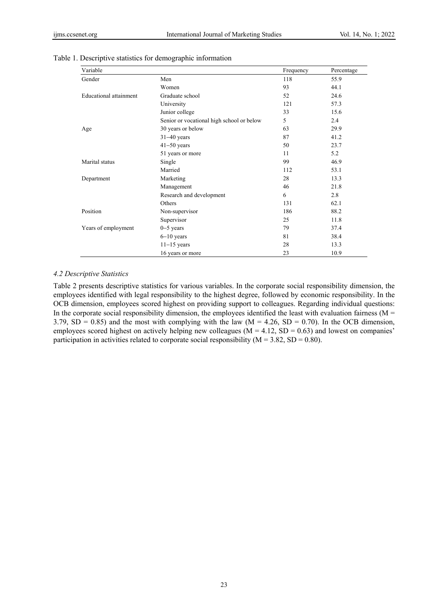| Variable               |                                           | Frequency | Percentage |
|------------------------|-------------------------------------------|-----------|------------|
| Gender                 | Men                                       | 118       | 55.9       |
|                        | Women                                     | 93        | 44.1       |
| Educational attainment | Graduate school                           | 52        | 24.6       |
|                        | University                                | 121       | 57.3       |
|                        | Junior college                            | 33        | 15.6       |
|                        | Senior or vocational high school or below | 5         | 2.4        |
| Age                    | 30 years or below                         | 63        | 29.9       |
|                        | $31-40$ years                             | 87        | 41.2       |
|                        | $41 - 50$ years                           | 50        | 23.7       |
|                        | 51 years or more                          | 11        | 5.2        |
| Marital status         | Single                                    | 99        | 46.9       |
|                        | Married                                   | 112       | 53.1       |
| Department             | Marketing                                 | 28        | 13.3       |
|                        | Management                                | 46        | 21.8       |
|                        | Research and development                  | 6         | 2.8        |
|                        | Others                                    | 131       | 62.1       |
| Position               | Non-supervisor                            | 186       | 88.2       |
|                        | Supervisor                                | 25        | 11.8       |
| Years of employment    | $0-5$ years                               | 79        | 37.4       |
|                        | $6-10$ years                              | 81        | 38.4       |
|                        | $11-15$ years                             | 28        | 13.3       |
|                        | 16 years or more                          | 23        | 10.9       |

#### Table 1. Descriptive statistics for demographic information

## *4.2 Descriptive Statistics*

Table 2 presents descriptive statistics for various variables. In the corporate social responsibility dimension, the employees identified with legal responsibility to the highest degree, followed by economic responsibility. In the OCB dimension, employees scored highest on providing support to colleagues. Regarding individual questions: In the corporate social responsibility dimension, the employees identified the least with evaluation fairness ( $M =$ 3.79,  $SD = 0.85$ ) and the most with complying with the law (M = 4.26,  $SD = 0.70$ ). In the OCB dimension, employees scored highest on actively helping new colleagues ( $M = 4.12$ ,  $SD = 0.63$ ) and lowest on companies' participation in activities related to corporate social responsibility ( $M = 3.82$ ,  $SD = 0.80$ ).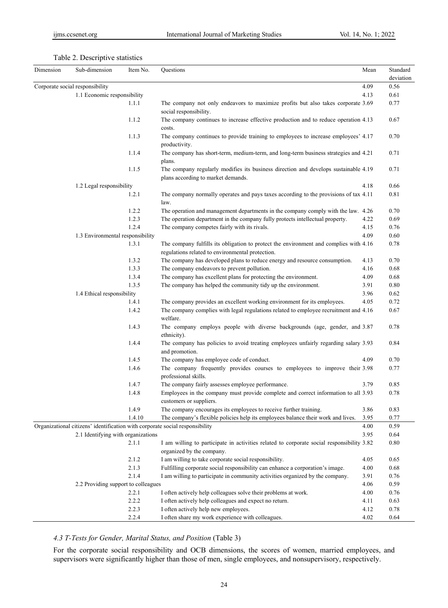| Dimension | Sub-dimension                       | Item No.       | Questions                                                                                                                                                      | Mean         | Standard     |
|-----------|-------------------------------------|----------------|----------------------------------------------------------------------------------------------------------------------------------------------------------------|--------------|--------------|
|           |                                     |                |                                                                                                                                                                |              | deviation    |
|           | Corporate social responsibility     |                |                                                                                                                                                                | 4.09         | 0.56         |
|           | 1.1 Economic responsibility         |                |                                                                                                                                                                | 4.13         | 0.61         |
|           |                                     | 1.1.1          | The company not only endeavors to maximize profits but also takes corporate 3.69<br>social responsibility.                                                     |              | 0.77         |
|           |                                     | 1.1.2          | The company continues to increase effective production and to reduce operation 4.13<br>costs.                                                                  |              | 0.67         |
|           |                                     | 1.1.3          | The company continues to provide training to employees to increase employees' 4.17<br>productivity.                                                            |              | 0.70         |
|           |                                     | 1.1.4          | The company has short-term, medium-term, and long-term business strategies and 4.21<br>plans.                                                                  |              | 0.71         |
|           |                                     | 1.1.5          | The company regularly modifies its business direction and develops sustainable 4.19<br>plans according to market demands.                                      |              | 0.71         |
|           | 1.2 Legal responsibility            |                |                                                                                                                                                                | 4.18         | 0.66         |
|           |                                     | 1.2.1          | The company normally operates and pays taxes according to the provisions of tax 4.11<br>law.                                                                   |              | 0.81         |
|           |                                     | 1.2.2          | The operation and management departments in the company comply with the law. 4.26                                                                              |              | 0.70         |
|           |                                     | 1.2.3          | The operation department in the company fully protects intellectual property.                                                                                  | 4.22         | 0.69         |
|           |                                     | 1.2.4          | The company competes fairly with its rivals.                                                                                                                   | 4.15         | 0.76         |
|           | 1.3 Environmental responsibility    |                |                                                                                                                                                                | 4.09         | 0.60         |
|           |                                     | 1.3.1          | The company fulfills its obligation to protect the environment and complies with 4.16<br>regulations related to environmental protection.                      |              | 0.78         |
|           |                                     | 1.3.2          | The company has developed plans to reduce energy and resource consumption.                                                                                     | 4.13         | 0.70         |
|           |                                     | 1.3.3          | The company endeavors to prevent pollution.                                                                                                                    | 4.16         | 0.68         |
|           |                                     | 1.3.4          | The company has excellent plans for protecting the environment.                                                                                                | 4.09         | 0.68         |
|           |                                     | 1.3.5          | The company has helped the community tidy up the environment.                                                                                                  | 3.91         | 0.80         |
|           | 1.4 Ethical responsibility          |                |                                                                                                                                                                | 3.96         | 0.62         |
|           |                                     | 1.4.1          | The company provides an excellent working environment for its employees.                                                                                       | 4.05         | 0.72         |
|           |                                     | 1.4.2          | The company complies with legal regulations related to employee recruitment and 4.16<br>welfare.                                                               |              | 0.67         |
|           |                                     | 1.4.3          | The company employs people with diverse backgrounds (age, gender, and 3.87<br>ethnicity).                                                                      |              | 0.78         |
|           |                                     | 1.4.4          | The company has policies to avoid treating employees unfairly regarding salary 3.93<br>and promotion.                                                          |              | 0.84         |
|           |                                     | 1.4.5          | The company has employee code of conduct.                                                                                                                      | 4.09         | 0.70         |
|           |                                     | 1.4.6          | The company frequently provides courses to employees to improve their 3.98<br>professional skills.                                                             |              | 0.77         |
|           |                                     | 1.4.7          | The company fairly assesses employee performance.                                                                                                              | 3.79         | 0.85         |
|           |                                     | 1.4.8          | Employees in the company must provide complete and correct information to all 3.93<br>customers or suppliers.                                                  |              | 0.78         |
|           |                                     | 1.4.9          | The company encourages its employees to receive further training.                                                                                              | 3.86         | 0.83         |
|           |                                     | 1.4.10         | The company's flexible policies help its employees balance their work and lives.                                                                               | 3.95         | 0.77         |
|           |                                     |                | Organizational citizens' identification with corporate social responsibility                                                                                   | 4.00         | 0.59         |
|           | 2.1 Identifying with organizations  |                |                                                                                                                                                                | 3.95         | 0.64         |
|           |                                     | 2.1.1          | I am willing to participate in activities related to corporate social responsibility 3.82                                                                      |              | 0.80         |
|           |                                     | 2.1.2          | organized by the company.<br>I am willing to take corporate social responsibility.                                                                             | 4.05         | 0.65         |
|           |                                     | 2.1.3          |                                                                                                                                                                | 4.00         | 0.68         |
|           |                                     | 2.1.4          | Fulfilling corporate social responsibility can enhance a corporation's image.<br>I am willing to participate in community activities organized by the company. | 3.91         | 0.76         |
|           |                                     |                |                                                                                                                                                                |              |              |
|           | 2.2 Providing support to colleagues |                |                                                                                                                                                                | 4.06         | 0.59         |
|           |                                     | 2.2.1          | I often actively help colleagues solve their problems at work.                                                                                                 | 4.00         | 0.76         |
|           |                                     | 2.2.2<br>2.2.3 | I often actively help colleagues and expect no return.<br>I often actively help new employees.                                                                 | 4.11<br>4.12 | 0.63<br>0.78 |
|           |                                     |                |                                                                                                                                                                |              |              |
|           |                                     | 2.2.4          | I often share my work experience with colleagues.                                                                                                              | 4.02         | 0.64         |

# *4.3 T-Tests for Gender, Marital Status, and Position* (Table 3)

For the corporate social responsibility and OCB dimensions, the scores of women, married employees, and supervisors were significantly higher than those of men, single employees, and nonsupervisory, respectively.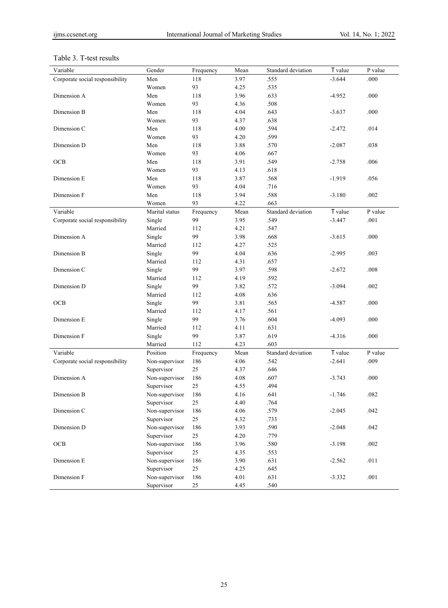# Table 3. T-test results

| Variable                        | Gender         | Frequency | Mean | Standard deviation | T value  | P value  |
|---------------------------------|----------------|-----------|------|--------------------|----------|----------|
| Corporate social responsibility | Men            | 118       | 3.97 | .555               | $-3.644$ | .000     |
|                                 | Women          | 93        | 4.25 | .535               |          |          |
| Dimension A                     | Men            | 118       | 3.96 | .633               | $-4.952$ | .000     |
|                                 | Women          | 93        | 4.36 | .508               |          |          |
| Dimension B                     | Men            | 118       | 4.04 | .643               | $-3.637$ | .000     |
|                                 | Women          | 93        | 4.37 | .638               |          |          |
| Dimension C                     | Men            | 118       | 4.00 | .594               | $-2.472$ | .014     |
|                                 | Women          | 93        | 4.20 | .599               |          |          |
| Dimension D                     | Men            | 118       | 3.88 | .570               | $-2.087$ | .038     |
|                                 | Women          | 93        | 4.06 | .667               |          |          |
| OCB                             | Men            | 118       | 3.91 | .549               | $-2.758$ | .006     |
|                                 | Women          | 93        | 4.13 | .618               |          |          |
| Dimension E                     | Men            | 118       | 3.87 | .568               | $-1.919$ | .056     |
|                                 | Women          | 93        | 4.04 | .716               |          |          |
| Dimension F                     | Men            | 118       | 3.94 | .588               | $-3.180$ | .002     |
|                                 | Women          | 93        | 4.22 | .663               |          |          |
| Variable                        | Marital status | Frequency | Mean | Standard deviation | T value  | P value  |
| Corporate social responsibility | Single         | 99        | 3.95 | .549               | $-3.447$ | .001     |
|                                 | Married        | 112       | 4.21 | .547               |          |          |
| Dimension A                     | Single         | 99        | 3.98 | .668               | $-3.615$ | .000     |
|                                 | Married        | 112       | 4.27 | .525               |          |          |
| Dimension B                     | Single         | 99        | 4.04 | .636               | $-2.995$ | .003     |
|                                 | Married        | 112       | 4.31 | .657               |          |          |
| Dimension C                     | Single         | 99        | 3.97 | .598               | $-2.672$ | .008     |
|                                 | Married        | 112       | 4.19 | .592               |          |          |
| Dimension D                     | Single         | 99        | 3.82 | .572               | $-3.094$ | .002     |
|                                 | Married        | 112       | 4.08 | .636               |          |          |
| OCB                             | Single         | 99        | 3.81 | .565               | $-4.587$ | .000     |
|                                 | Married        | 112       | 4.17 | .561               |          |          |
| Dimension E                     | Single         | 99        | 3.76 | .604               | $-4.093$ | .000     |
|                                 | Married        | 112       | 4.11 | .631               |          |          |
| Dimension F                     | Single         | 99        | 3.87 | .619               | $-4.316$ | .000     |
|                                 | Married        | 112       | 4.23 | .603               |          |          |
| Variable                        | Position       | Frequency | Mean | Standard deviation | T value  | P value  |
| Corporate social responsibility | Non-supervisor | 186       | 4.06 | .542               | $-2.641$ | .009     |
|                                 | Supervisor     | 25        | 4.37 | .646               |          |          |
| Dimension A                     | Non-supervisor | 186       | 4.08 | .607               | $-3.743$ | .000     |
|                                 | Supervisor     | 25        | 4.55 | .494               |          |          |
| Dimension B                     | Non-supervisor | 186       | 4.16 | .641               | $-1.746$ | .082     |
|                                 | Supervisor     | 25        | 4.40 | .764               |          |          |
| Dimension C                     | Non-supervisor | 186       | 4.06 | .579               | $-2.045$ | .042     |
|                                 | Supervisor     | 25        | 4.32 | .733               |          |          |
| Dimension D                     | Non-supervisor | 186       | 3.93 | .590               | $-2.048$ | .042     |
|                                 | Supervisor     | 25        | 4.20 | .779               |          |          |
| OCB                             | Non-supervisor | 186       | 3.96 | .580               | $-3.198$ | $.002\,$ |
|                                 | Supervisor     | 25        | 4.35 | .553               |          |          |
| Dimension E                     | Non-supervisor | 186       | 3.90 | .631               | $-2.562$ | $.011$   |
|                                 | Supervisor     | 25        | 4.25 | .645               |          |          |
| Dimension F                     | Non-supervisor | 186       | 4.01 | .631               | $-3.332$ | .001     |
|                                 | Supervisor     | 25        | 4.45 | .540               |          |          |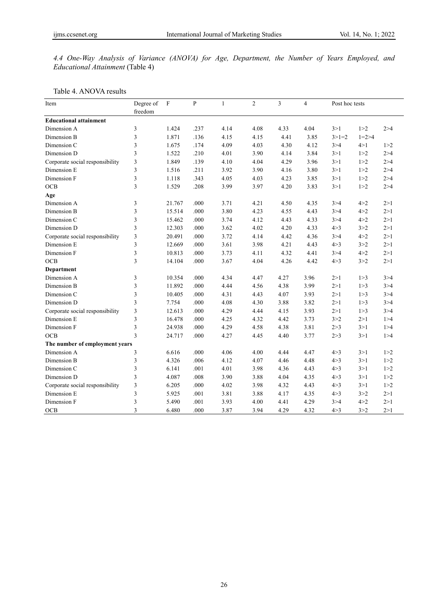*4.4 One-Way Analysis of Variance (ANOVA) for Age, Department, the Number of Years Employed, and Educational Attainment* (Table 4)

#### Table 4. ANOVA results

| Item                            | Degree of      | $\mathbf{F}$ | $\mathbf{P}$ | $\mathbf{1}$ | $\overline{c}$ | 3    | $\overline{4}$ | Post hoc tests |             |       |
|---------------------------------|----------------|--------------|--------------|--------------|----------------|------|----------------|----------------|-------------|-------|
|                                 | freedom        |              |              |              |                |      |                |                |             |       |
| <b>Educational attainment</b>   |                |              |              |              |                |      |                |                |             |       |
| Dimension A                     | 3              | 1.424        | .237         | 4.14         | 4.08           | 4.33 | 4.04           | 3>1            | 1 > 2       | 2 > 4 |
| Dimension B                     | 3              | 1.871        | .136         | 4.15         | 4.15           | 4.41 | 3.85           | $3>1=2$        | $1 = 2 > 4$ |       |
| Dimension C                     | 3              | 1.675        | .174         | 4.09         | 4.03           | 4.30 | 4.12           | 3 > 4          | 4>1         | 1 > 2 |
| Dimension D                     | 3              | 1.522        | .210         | 4.01         | 3.90           | 4.14 | 3.84           | 3>1            | 1 > 2       | 2 > 4 |
| Corporate social responsibility | 3              | 1.849        | .139         | 4.10         | 4.04           | 4.29 | 3.96           | 3>1            | 1 > 2       | 2 > 4 |
| Dimension E                     | 3              | 1.516        | .211         | 3.92         | 3.90           | 4.16 | 3.80           | 3>1            | 1 > 2       | 2 > 4 |
| Dimension F                     | 3              | 1.118        | .343         | 4.05         | 4.03           | 4.23 | 3.85           | 3>1            | 1 > 2       | 2 > 4 |
| OCB                             | 3              | 1.529        | .208         | 3.99         | 3.97           | 4.20 | 3.83           | 3 > 1          | 1 > 2       | 2 > 4 |
| Age                             |                |              |              |              |                |      |                |                |             |       |
| Dimension A                     | 3              | 21.767       | .000         | 3.71         | 4.21           | 4.50 | 4.35           | 3 > 4          | 4 > 2       | 2>1   |
| Dimension B                     | 3              | 15.514       | .000         | 3.80         | 4.23           | 4.55 | 4.43           | 3 > 4          | 4 > 2       | 2>1   |
| Dimension C                     | 3              | 15.462       | .000         | 3.74         | 4.12           | 4.43 | 4.33           | 3 > 4          | 4 > 2       | 2>1   |
| Dimension D                     | 3              | 12.303       | .000         | 3.62         | 4.02           | 4.20 | 4.33           | 4 > 3          | 3 > 2       | 2>1   |
| Corporate social responsibility | 3              | 20.491       | .000         | 3.72         | 4.14           | 4.42 | 4.36           | 3 > 4          | 4 > 2       | 2>1   |
| Dimension E                     | 3              | 12.669       | .000         | 3.61         | 3.98           | 4.21 | 4.43           | 4 > 3          | 3 > 2       | 2>1   |
| Dimension F                     | 3              | 10.813       | .000         | 3.73         | 4.11           | 4.32 | 4.41           | 3 > 4          | 4 > 2       | 2 > 1 |
| <b>OCB</b>                      | 3              | 14.104       | .000         | 3.67         | 4.04           | 4.26 | 4.42           | 4 > 3          | 3 > 2       | 2 > 1 |
| Department                      |                |              |              |              |                |      |                |                |             |       |
| Dimension A                     | 3              | 10.354       | .000         | 4.34         | 4.47           | 4.27 | 3.96           | 2 > 1          | 1 > 3       | 3 > 4 |
| Dimension B                     | 3              | 11.892       | .000         | 4.44         | 4.56           | 4.38 | 3.99           | 2 > 1          | 1 > 3       | 3 > 4 |
| Dimension C                     | 3              | 10.405       | .000         | 4.31         | 4.43           | 4.07 | 3.93           | 2 > 1          | 1 > 3       | 3 > 4 |
| Dimension D                     | 3              | 7.754        | .000         | 4.08         | 4.30           | 3.88 | 3.82           | 2>1            | 1 > 3       | 3 > 4 |
| Corporate social responsibility | 3              | 12.613       | .000         | 4.29         | 4.44           | 4.15 | 3.93           | 2 > 1          | 1 > 3       | 3 > 4 |
| Dimension E                     | 3              | 16.478       | .000         | 4.25         | 4.32           | 4.42 | 3.73           | 3 > 2          | 2 > 1       | 1 > 4 |
| Dimension F                     | 3              | 24.938       | .000         | 4.29         | 4.58           | 4.38 | 3.81           | 2 > 3          | 3>1         | 1 > 4 |
| <b>OCB</b>                      | $\overline{3}$ | 24.717       | .000         | 4.27         | 4.45           | 4.40 | 3.77           | 2 > 3          | 3>1         | 1 > 4 |
| The number of employment years  |                |              |              |              |                |      |                |                |             |       |
| Dimension A                     | 3              | 6.616        | .000         | 4.06         | 4.00           | 4.44 | 4.47           | 4 > 3          | 3>1         | 1 > 2 |
| Dimension B                     | 3              | 4.326        | .006         | 4.12         | 4.07           | 4.46 | 4.48           | 4 > 3          | 3 > 1       | 1 > 2 |
| Dimension C                     | 3              | 6.141        | .001         | 4.01         | 3.98           | 4.36 | 4.43           | 4 > 3          | 3 > 1       | 1 > 2 |
| Dimension D                     | 3              | 4.087        | .008         | 3.90         | 3.88           | 4.04 | 4.35           | 4 > 3          | 3 > 1       | 1 > 2 |
| Corporate social responsibility | 3              | 6.205        | .000         | 4.02         | 3.98           | 4.32 | 4.43           | 4 > 3          | 3>1         | 1 > 2 |
| Dimension E                     | 3              | 5.925        | .001         | 3.81         | 3.88           | 4.17 | 4.35           | 4 > 3          | 3 > 2       | 2>1   |
| Dimension F                     | 3              | 5.490        | .001         | 3.93         | 4.00           | 4.41 | 4.29           | 3 > 4          | 4 > 2       | 2>1   |
| <b>OCB</b>                      | 3              | 6.480        | .000         | 3.87         | 3.94           | 4.29 | 4.32           | 4 > 3          | 3 > 2       | 2 > 1 |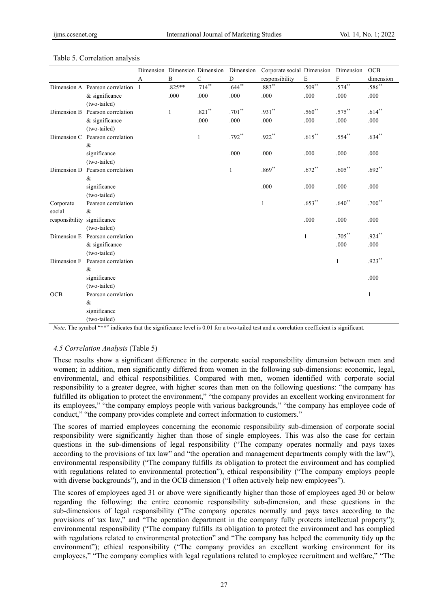|                             |                                   |   |          | Dimension Dimension Dimension | Dimension    | Corporate social Dimension |              | Dimension    | <b>OCB</b>  |
|-----------------------------|-----------------------------------|---|----------|-------------------------------|--------------|----------------------------|--------------|--------------|-------------|
|                             |                                   | A | $\bf{B}$ | $\mathbf C$                   | D            | responsibility             | $\mathbf E$  | F            | dimension   |
|                             | Dimension A Pearson correlation 1 |   | $.825**$ | $.714***$                     | $.644**$     | $.883***$                  | $.509**$     | $.574**$     | $.586^{**}$ |
|                             | $&$ significance                  |   | .000     | .000                          | .000         | .000                       | .000         | .000         | .000        |
|                             | (two-tailed)                      |   |          |                               |              |                            |              |              |             |
| Dimension B                 | Pearson correlation               |   | 1        | $.821**$                      | $.701**$     | .931**                     | $.560**$     | $.575***$    | $.614***$   |
|                             | $&$ significance                  |   |          | .000                          | .000         | .000                       | .000         | .000         | .000        |
|                             | (two-tailed)                      |   |          |                               |              |                            |              |              |             |
| Dimension C                 | Pearson correlation               |   |          | 1                             | .792**       | .922**                     | $.615***$    | $.554**$     | $.634**$    |
|                             | &                                 |   |          |                               |              |                            |              |              |             |
|                             | significance                      |   |          |                               | .000         | .000                       | .000         | .000         | .000        |
|                             | (two-tailed)                      |   |          |                               |              |                            |              |              |             |
| Dimension D                 | Pearson correlation               |   |          |                               | $\mathbf{1}$ | $.869**$                   | $.672**$     | $.605***$    | $.692**$    |
|                             | &                                 |   |          |                               |              |                            |              |              |             |
|                             | significance                      |   |          |                               |              | .000                       | .000         | .000         | .000        |
|                             | (two-tailed)                      |   |          |                               |              |                            |              |              |             |
| Corporate                   | Pearson correlation               |   |          |                               |              | $\mathbf{1}$               | $.653***$    | $.640**$     | $.700**$    |
| social                      | &                                 |   |          |                               |              |                            |              |              |             |
| responsibility significance |                                   |   |          |                               |              |                            | .000         | .000         | .000        |
|                             | (two-tailed)                      |   |          |                               |              |                            |              |              |             |
|                             | Dimension E Pearson correlation   |   |          |                               |              |                            | $\mathbf{1}$ | $.705***$    | $.924***$   |
|                             | & significance                    |   |          |                               |              |                            |              | .000         | .000        |
|                             | (two-tailed)                      |   |          |                               |              |                            |              |              |             |
| Dimension F                 | Pearson correlation               |   |          |                               |              |                            |              | $\mathbf{1}$ | .923**      |
|                             | &                                 |   |          |                               |              |                            |              |              |             |
|                             | significance                      |   |          |                               |              |                            |              |              | .000        |
|                             | (two-tailed)                      |   |          |                               |              |                            |              |              |             |
| <b>OCB</b>                  | Pearson correlation               |   |          |                               |              |                            |              |              | 1           |
|                             | &                                 |   |          |                               |              |                            |              |              |             |
|                             | significance                      |   |          |                               |              |                            |              |              |             |
|                             | (two-tailed)                      |   |          |                               |              |                            |              |              |             |

#### Table 5. Correlation analysis

*Note*. The symbol "\*\*" indicates that the significance level is 0.01 for a two-tailed test and a correlation coefficient is significant.

#### *4.5 Correlation Analysis* (Table 5)

These results show a significant difference in the corporate social responsibility dimension between men and women; in addition, men significantly differed from women in the following sub-dimensions: economic, legal, environmental, and ethical responsibilities. Compared with men, women identified with corporate social responsibility to a greater degree, with higher scores than men on the following questions: "the company has fulfilled its obligation to protect the environment," "the company provides an excellent working environment for its employees," "the company employs people with various backgrounds," "the company has employee code of conduct," "the company provides complete and correct information to customers."

The scores of married employees concerning the economic responsibility sub-dimension of corporate social responsibility were significantly higher than those of single employees. This was also the case for certain questions in the sub-dimensions of legal responsibility ("The company operates normally and pays taxes according to the provisions of tax law" and "the operation and management departments comply with the law"), environmental responsibility ("The company fulfills its obligation to protect the environment and has complied with regulations related to environmental protection"), ethical responsibility ("The company employs people with diverse backgrounds"), and in the OCB dimension ("I often actively help new employees").

The scores of employees aged 31 or above were significantly higher than those of employees aged 30 or below regarding the following: the entire economic responsibility sub-dimension, and these questions in the sub-dimensions of legal responsibility ("The company operates normally and pays taxes according to the provisions of tax law," and "The operation department in the company fully protects intellectual property"); environmental responsibility ("The company fulfills its obligation to protect the environment and has complied with regulations related to environmental protection" and "The company has helped the community tidy up the environment"); ethical responsibility ("The company provides an excellent working environment for its employees," "The company complies with legal regulations related to employee recruitment and welfare," "The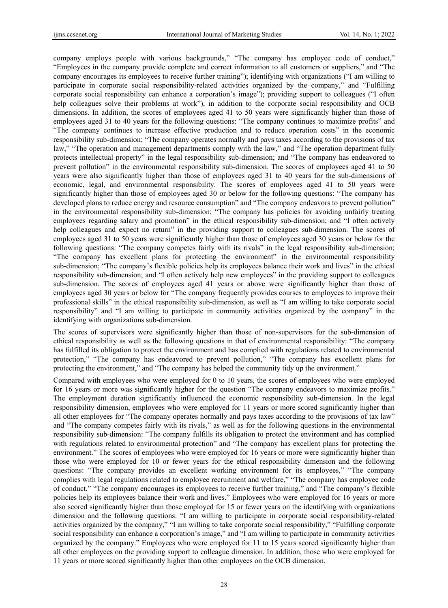company employs people with various backgrounds," "The company has employee code of conduct," "Employees in the company provide complete and correct information to all customers or suppliers," and "The company encourages its employees to receive further training"); identifying with organizations ("I am willing to participate in corporate social responsibility-related activities organized by the company," and "Fulfilling corporate social responsibility can enhance a corporation's image"); providing support to colleagues ("I often help colleagues solve their problems at work"), in addition to the corporate social responsibility and OCB dimensions. In addition, the scores of employees aged 41 to 50 years were significantly higher than those of employees aged 31 to 40 years for the following questions: "The company continues to maximize profits" and "The company continues to increase effective production and to reduce operation costs" in the economic responsibility sub-dimension; "The company operates normally and pays taxes according to the provisions of tax law," "The operation and management departments comply with the law," and "The operation department fully protects intellectual property" in the legal responsibility sub-dimension; and "The company has endeavored to prevent pollution" in the environmental responsibility sub-dimension. The scores of employees aged 41 to 50 years were also significantly higher than those of employees aged 31 to 40 years for the sub-dimensions of economic, legal, and environmental responsibility. The scores of employees aged 41 to 50 years were significantly higher than those of employees aged 30 or below for the following questions: "The company has developed plans to reduce energy and resource consumption" and "The company endeavors to prevent pollution" in the environmental responsibility sub-dimension; "The company has policies for avoiding unfairly treating employees regarding salary and promotion" in the ethical responsibility sub-dimension; and "I often actively help colleagues and expect no return" in the providing support to colleagues sub-dimension. The scores of employees aged 31 to 50 years were significantly higher than those of employees aged 30 years or below for the following questions: "The company competes fairly with its rivals" in the legal responsibility sub-dimension; "The company has excellent plans for protecting the environment" in the environmental responsibility sub-dimension; "The company's flexible policies help its employees balance their work and lives" in the ethical responsibility sub-dimension; and "I often actively help new employees" in the providing support to colleagues sub-dimension. The scores of employees aged 41 years or above were significantly higher than those of employees aged 30 years or below for "The company frequently provides courses to employees to improve their professional skills" in the ethical responsibility sub-dimension, as well as "I am willing to take corporate social responsibility" and "I am willing to participate in community activities organized by the company" in the identifying with organizations sub-dimension.

The scores of supervisors were significantly higher than those of non-supervisors for the sub-dimension of ethical responsibility as well as the following questions in that of environmental responsibility: "The company has fulfilled its obligation to protect the environment and has complied with regulations related to environmental protection," "The company has endeavored to prevent pollution," "The company has excellent plans for protecting the environment," and "The company has helped the community tidy up the environment."

Compared with employees who were employed for 0 to 10 years, the scores of employees who were employed for 16 years or more was significantly higher for the question "The company endeavors to maximize profits." The employment duration significantly influenced the economic responsibility sub-dimension. In the legal responsibility dimension, employees who were employed for 11 years or more scored significantly higher than all other employees for "The company operates normally and pays taxes according to the provisions of tax law" and "The company competes fairly with its rivals," as well as for the following questions in the environmental responsibility sub-dimension: "The company fulfills its obligation to protect the environment and has complied with regulations related to environmental protection" and "The company has excellent plans for protecting the environment." The scores of employees who were employed for 16 years or more were significantly higher than those who were employed for 10 or fewer years for the ethical responsibility dimension and the following questions: "The company provides an excellent working environment for its employees," "The company complies with legal regulations related to employee recruitment and welfare," "The company has employee code of conduct," "The company encourages its employees to receive further training," and "The company's flexible policies help its employees balance their work and lives." Employees who were employed for 16 years or more also scored significantly higher than those employed for 15 or fewer years on the identifying with organizations dimension and the following questions: "I am willing to participate in corporate social responsibility-related activities organized by the company," "I am willing to take corporate social responsibility," "Fulfilling corporate social responsibility can enhance a corporation's image," and "I am willing to participate in community activities organized by the company." Employees who were employed for 11 to 15 years scored significantly higher than all other employees on the providing support to colleague dimension. In addition, those who were employed for 11 years or more scored significantly higher than other employees on the OCB dimension.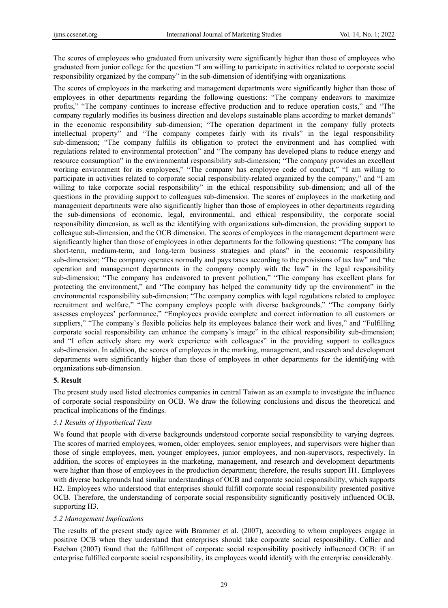The scores of employees who graduated from university were significantly higher than those of employees who graduated from junior college for the question "I am willing to participate in activities related to corporate social responsibility organized by the company" in the sub-dimension of identifying with organizations.

The scores of employees in the marketing and management departments were significantly higher than those of employees in other departments regarding the following questions: "The company endeavors to maximize profits," "The company continues to increase effective production and to reduce operation costs," and "The company regularly modifies its business direction and develops sustainable plans according to market demands" in the economic responsibility sub-dimension; "The operation department in the company fully protects intellectual property" and "The company competes fairly with its rivals" in the legal responsibility sub-dimension; "The company fulfills its obligation to protect the environment and has complied with regulations related to environmental protection" and "The company has developed plans to reduce energy and resource consumption" in the environmental responsibility sub-dimension; "The company provides an excellent working environment for its employees," "The company has employee code of conduct," "I am willing to participate in activities related to corporate social responsibility-related organized by the company," and "I am willing to take corporate social responsibility" in the ethical responsibility sub-dimension; and all of the questions in the providing support to colleagues sub-dimension. The scores of employees in the marketing and management departments were also significantly higher than those of employees in other departments regarding the sub-dimensions of economic, legal, environmental, and ethical responsibility, the corporate social responsibility dimension, as well as the identifying with organizations sub-dimension, the providing support to colleague sub-dimension, and the OCB dimension. The scores of employees in the management department were significantly higher than those of employees in other departments for the following questions: "The company has short-term, medium-term, and long-term business strategies and plans" in the economic responsibility sub-dimension; "The company operates normally and pays taxes according to the provisions of tax law" and "the operation and management departments in the company comply with the law" in the legal responsibility sub-dimension; "The company has endeavored to prevent pollution," "The company has excellent plans for protecting the environment," and "The company has helped the community tidy up the environment" in the environmental responsibility sub-dimension; "The company complies with legal regulations related to employee recruitment and welfare," "The company employs people with diverse backgrounds," "The company fairly assesses employees' performance," "Employees provide complete and correct information to all customers or suppliers," "The company's flexible policies help its employees balance their work and lives," and "Fulfilling corporate social responsibility can enhance the company's image" in the ethical responsibility sub-dimension; and "I often actively share my work experience with colleagues" in the providing support to colleagues sub-dimension. In addition, the scores of employees in the marking, management, and research and development departments were significantly higher than those of employees in other departments for the identifying with organizations sub-dimension.

# **5. Result**

The present study used listed electronics companies in central Taiwan as an example to investigate the influence of corporate social responsibility on OCB. We draw the following conclusions and discus the theoretical and practical implications of the findings.

## *5.1 Results of Hypothetical Tests*

We found that people with diverse backgrounds understood corporate social responsibility to varying degrees. The scores of married employees, women, older employees, senior employees, and supervisors were higher than those of single employees, men, younger employees, junior employees, and non-supervisors, respectively. In addition, the scores of employees in the marketing, management, and research and development departments were higher than those of employees in the production department; therefore, the results support H1. Employees with diverse backgrounds had similar understandings of OCB and corporate social responsibility, which supports H2. Employees who understood that enterprises should fulfill corporate social responsibility presented positive OCB. Therefore, the understanding of corporate social responsibility significantly positively influenced OCB, supporting H3.

## *5.2 Management Implications*

The results of the present study agree with Brammer et al. (2007), according to whom employees engage in positive OCB when they understand that enterprises should take corporate social responsibility. Collier and Esteban (2007) found that the fulfillment of corporate social responsibility positively influenced OCB: if an enterprise fulfilled corporate social responsibility, its employees would identify with the enterprise considerably.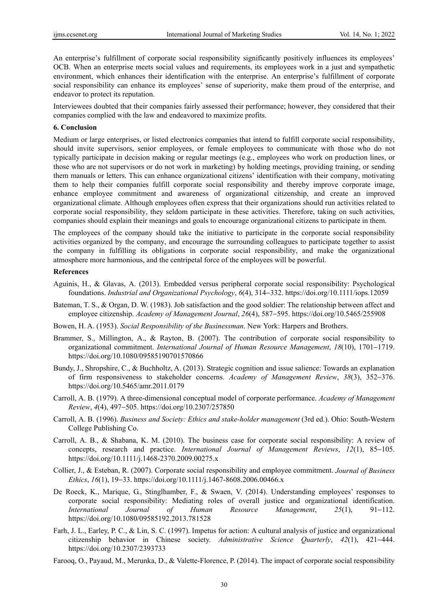An enterprise's fulfillment of corporate social responsibility significantly positively influences its employees' OCB. When an enterprise meets social values and requirements, its employees work in a just and sympathetic environment, which enhances their identification with the enterprise. An enterprise's fulfillment of corporate social responsibility can enhance its employees' sense of superiority, make them proud of the enterprise, and endeavor to protect its reputation.

Interviewees doubted that their companies fairly assessed their performance; however, they considered that their companies complied with the law and endeavored to maximize profits.

## **6. Conclusion**

Medium or large enterprises, or listed electronics companies that intend to fulfill corporate social responsibility, should invite supervisors, senior employees, or female employees to communicate with those who do not typically participate in decision making or regular meetings (e.g., employees who work on production lines, or those who are not supervisors or do not work in marketing) by holding meetings, providing training, or sending them manuals or letters. This can enhance organizational citizens' identification with their company, motivating them to help their companies fulfill corporate social responsibility and thereby improve corporate image, enhance employee commitment and awareness of organizational citizenship, and create an improved organizational climate. Although employees often express that their organizations should run activities related to corporate social responsibility, they seldom participate in these activities. Therefore, taking on such activities, companies should explain their meanings and goals to encourage organizational citizens to participate in them.

The employees of the company should take the initiative to participate in the corporate social responsibility activities organized by the company, and encourage the surrounding colleagues to participate together to assist the company in fulfilling its obligations in corporate social responsibility, and make the organizational atmosphere more harmonious, and the centripetal force of the employees will be powerful.

#### **References**

- Aguinis, H., & Glavas, A. (2013). Embedded versus peripheral corporate social responsibility: Psychological foundations. *Industrial and Organizational Psychology*, *6*(4), 314−332. https://doi.org/10.1111/iops.12059
- Bateman, T. S., & Organ, D. W. (1983). Job satisfaction and the good soldier: The relationship between affect and employee citizenship. *Academy of Management Journal*, *26*(4), 587−595. https://doi.org/10.5465/255908
- Bowen, H. A. (1953). *Social Responsibility of the Businessman*. New York: Harpers and Brothers.
- Brammer, S., Millington, A., & Rayton, B. (2007). The contribution of corporate social responsibility to organizational commitment. *International Journal of Human Resource Management*, *18*(10), 1701−1719. https://doi.org/10.1080/09585190701570866
- Bundy, J., Shropshire, C., & Buchholtz, A. (2013). Strategic cognition and issue salience: Towards an explanation of firm responsiveness to stakeholder concerns. *Academy of Management Review*, *38*(3), 352−376. https://doi.org/10.5465/amr.2011.0179
- Carroll, A. B. (1979). A three-dimensional conceptual model of corporate performance. *Academy of Management Review*, *4*(4), 497−505. https://doi.org/10.2307/257850
- Carroll, A. B. (1996). *Business and Society: Ethics and stake-holder management* (3rd ed.). Ohio: South-Western College Publishing Co.
- Carroll, A. B., & Shabana, K. M. (2010). The business case for corporate social responsibility: A review of concepts, research and practice. *International Journal of Management Reviews*, *12*(1), 85−105. https://doi.org/10.1111/j.1468-2370.2009.00275.x
- Collier, J., & Esteban, R. (2007). Corporate social responsibility and employee commitment. *Journal of Business Ethics*, *16*(1), 19−33. https://doi.org/10.1111/j.1467-8608.2006.00466.x
- De Roeck, K., Marique, G., Stinglhamber, F., & Swaen, V. (2014). Understanding employees' responses to corporate social responsibility: Mediating roles of overall justice and organizational identification. *International Journal of Human Resource Management*, *25*(1), 91−112. https://doi.org/10.1080/09585192.2013.781528
- Farh, J. L., Earley, P. C., & Lin, S. C. (1997). Impetus for action: A cultural analysis of justice and organizational citizenship behavior in Chinese society. *Administrative Science Quarterly*, *42*(1), 421−444. https://doi.org/10.2307/2393733
- Farooq, O., Payaud, M., Merunka, D., & Valette-Florence, P. (2014). The impact of corporate social responsibility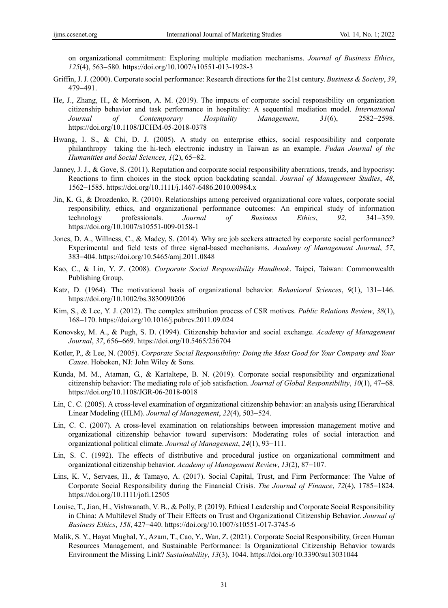on organizational commitment: Exploring multiple mediation mechanisms. *Journal of Business Ethics*, *125*(4), 563−580. https://doi.org/10.1007/s10551-013-1928-3

- Griffin, J. J. (2000). Corporate social performance: Research directions for the 21st century. *Business & Society*, *39*, 479−491.
- He, J., Zhang, H., & Morrison, A. M. (2019). The impacts of corporate social responsibility on organization citizenship behavior and task performance in hospitality: A sequential mediation model. *International Journal of Contemporary Hospitality Management*, *31*(6), 2582−2598. https://doi.org/10.1108/IJCHM-05-2018-0378
- Hwang, I. S., & Chi, D. J. (2005). A study on enterprise ethics, social responsibility and corporate philanthropy—taking the hi-tech electronic industry in Taiwan as an example. *Fudan Journal of the Humanities and Social Sciences*, *1*(2), 65−82.
- Janney, J. J., & Gove, S. (2011). Reputation and corporate social responsibility aberrations, trends, and hypocrisy: Reactions to firm choices in the stock option backdating scandal. *Journal of Management Studies*, *48*, 1562−1585. https://doi.org/10.1111/j.1467-6486.2010.00984.x
- Jin, K. G., & Drozdenko, R. (2010). Relationships among perceived organizational core values, corporate social responsibility, ethics, and organizational performance outcomes: An empirical study of information technology professionals. *Journal of Business Ethics*, *92*, 341−359. https://doi.org/10.1007/s10551-009-0158-1
- Jones, D. A., Willness, C., & Madey, S. (2014). Why are job seekers attracted by corporate social performance? Experimental and field tests of three signal-based mechanisms. *Academy of Management Journal*, *57*, 383−404. https://doi.org/10.5465/amj.2011.0848
- Kao, C., & Lin, Y. Z. (2008). *Corporate Social Responsibility Handbook*. Taipei, Taiwan: Commonwealth Publishing Group.
- Katz, D. (1964). The motivational basis of organizational behavior. *Behavioral Sciences*, *9*(1), 131−146. https://doi.org/10.1002/bs.3830090206
- Kim, S., & Lee, Y. J. (2012). The complex attribution process of CSR motives. *Public Relations Review*, *38*(1), 168−170. https://doi.org/10.1016/j.pubrev.2011.09.024
- Konovsky, M. A., & Pugh, S. D. (1994). Citizenship behavior and social exchange. *Academy of Management Journal*, *37*, 656−669. https://doi.org/10.5465/256704
- Kotler, P., & Lee, N. (2005). *Corporate Social Responsibility: Doing the Most Good for Your Company and Your Cause*. Hoboken, NJ: John Wiley & Sons.
- Kunda, M. M., Ataman, G., & Kartaltepe, B. N. (2019). Corporate social responsibility and organizational citizenship behavior: The mediating role of job satisfaction. *Journal of Global Responsibility*, *10*(1), 47−68. https://doi.org/10.1108/JGR-06-2018-0018
- Lin, C. C. (2005). A cross-level examination of organizational citizenship behavior: an analysis using Hierarchical Linear Modeling (HLM). *Journal of Management*, *22*(4), 503−524.
- Lin, C. C. (2007). A cross-level examination on relationships between impression management motive and organizational citizenship behavior toward supervisors: Moderating roles of social interaction and organizational political climate. *Journal of Management*, *24*(1), 93−111.
- Lin, S. C. (1992). The effects of distributive and procedural justice on organizational commitment and organizational citizenship behavior. *Academy of Management Review*, *13*(2), 87−107.
- Lins, K. V., Servaes, H., & Tamayo, A. (2017). Social Capital, Trust, and Firm Performance: The Value of Corporate Social Responsibility during the Financial Crisis. *The Journal of Finance*, *72*(4), 1785−1824. https://doi.org/10.1111/jofi.12505
- Louise, T., Jian, H., Vishwanath, V. B., & Polly, P. (2019). Ethical Leadership and Corporate Social Responsibility in China: A Multilevel Study of Their Effects on Trust and Organizational Citizenship Behavior. *Journal of Business Ethics*, *158*, 427−440. https://doi.org/10.1007/s10551-017-3745-6
- Malik, S. Y., Hayat Mughal, Y., Azam, T., Cao, Y., Wan, Z. (2021). Corporate Social Responsibility, Green Human Resources Management, and Sustainable Performance: Is Organizational Citizenship Behavior towards Environment the Missing Link? *Sustainability*, *13*(3), 1044. https://doi.org/10.3390/su13031044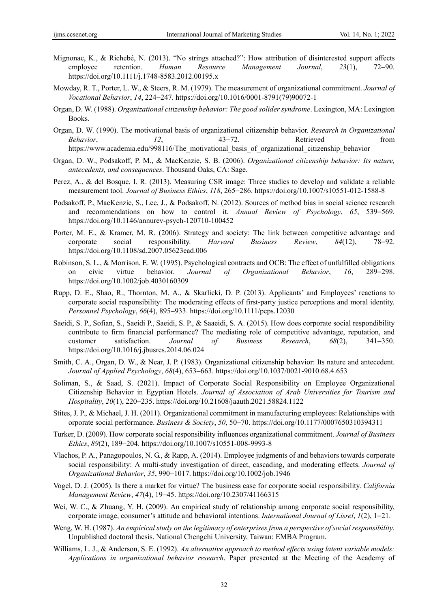- Mignonac, K., & Richebé, N. (2013). "No strings attached?": How attribution of disinterested support affects employee retention. *Human Resource Management Journal*, *23*(1), 72−90. https://doi.org/10.1111/j.1748-8583.2012.00195.x
- Mowday, R. T., Porter, L. W., & Steers, R. M. (1979). The measurement of organizational commitment. *Journal of Vocational Behavior*, *14*, 224−247. https://doi.org/10.1016/0001-8791(79)90072-1
- Organ, D. W. (1988). *Organizational citizenship behavior: The good solider syndrome*. Lexington, MA: Lexington Books.
- Organ, D. W. (1990). The motivational basis of organizational citizenship behavior. *Research in Organizational Behavior*, *12*, 43−72. Retrieved from https://www.academia.edu/998116/The\_motivational\_basis\_of\_organizational\_citizenship\_behavior
- Organ, D. W., Podsakoff, P. M., & MacKenzie, S. B. (2006). *Organizational citizenship behavior: Its nature, antecedents, and consequences*. Thousand Oaks, CA: Sage.
- Perez, A., & del Bosque, I. R. (2013). Measuring CSR image: Three studies to develop and validate a reliable measurement tool. *Journal of Business Ethics*, *118*, 265−286. https://doi.org/10.1007/s10551-012-1588-8
- Podsakoff, P., MacKenzie, S., Lee, J., & Podsakoff, N. (2012). Sources of method bias in social science research and recommendations on how to control it. *Annual Review of Psychology*, *65*, 539−569. https://doi.org/10.1146/annurev-psych-120710-100452
- Porter, M. E., & Kramer, M. R. (2006). Strategy and society: The link between competitive advantage and corporate social responsibility. *Harvard Business Review*, *84*(12), 78−92. https://doi.org/10.1108/sd.2007.05623ead.006
- Robinson, S. L., & Morrison, E. W. (1995). Psychological contracts and OCB: The effect of unfulfilled obligations on civic virtue behavior. *Journal of Organizational Behavior*, *16*, 289−298. https://doi.org/10.1002/job.4030160309
- Rupp, D. E., Shao, R., Thornton, M. A., & Skarlicki, D. P. (2013). Applicants' and Employees' reactions to corporate social responsibility: The moderating effects of first-party justice perceptions and moral identity. *Personnel Psychology*, *66*(4), 895−933. https://doi.org/10.1111/peps.12030
- Saeidi, S. P., Sofian, S., Saeidi P., Saeidi, S. P., & Saaeidi, S. A. (2015). How does corporate social respondibility contribute to firm financial performance? The mediating role of competitive advantage, reputation, and customer satisfaction. *Journal of Business Research*, *68*(2), 341−350. https://doi.org/10.1016/j.jbusres.2014.06.024
- Smith, C. A., Organ, D. W., & Near, J. P. (1983). Organizational citizenship behavior: Its nature and antecedent. *Journal of Applied Psychology*, *68*(4), 653−663. https://doi.org/10.1037/0021-9010.68.4.653
- Soliman, S., & Saad, S. (2021). Impact of Corporate Social Responsibility on Employee Organizational Citizenship Behavior in Egyptian Hotels. *Journal of Association of Arab Universities for Tourism and Hospitality*, *20*(1), 220−235. https://doi.org/10.21608/jaauth.2021.58824.1122
- Stites, J. P., & Michael, J. H. (2011). Organizational commitment in manufacturing employees: Relationships with orporate social performance. *Business & Society*, *50*, 50−70. https://doi.org/10.1177/0007650310394311
- Turker, D. (2009). How corporate social responsibility influences organizational commitment. *Journal of Business Ethics*, *89*(2), 189−204. https://doi.org/10.1007/s10551-008-9993-8
- Vlachos, P. A., Panagopoulos, N. G., & Rapp, A. (2014). Employee judgments of and behaviors towards corporate social responsibility: A multi-study investigation of direct, cascading, and moderating effects. *Journal of Organizational Behavior*, *35*, 990−1017. https://doi.org/10.1002/job.1946
- Vogel, D. J. (2005). Is there a market for virtue? The business case for corporate social responsibility. *California Management Review*, *47*(4), 19−45. https://doi.org/10.2307/41166315
- Wei, W. C., & Zhuang, Y. H. (2009). An empirical study of relationship among corporate social responsibility, corporate image, consumer's attitude and behavioral intentions. *International Journal of Lisrel*, *1*(2), 1−21.
- Weng, W. H. (1987). *An empirical study on the legitimacy of enterprises from a perspective of social responsibility*. Unpublished doctoral thesis. National Chengchi University, Taiwan: EMBA Program.
- Williams, L. J., & Anderson, S. E. (1992). *An alternative approach to method effects using latent variable models: Applications in organizational behavior research*. Paper presented at the Meeting of the Academy of